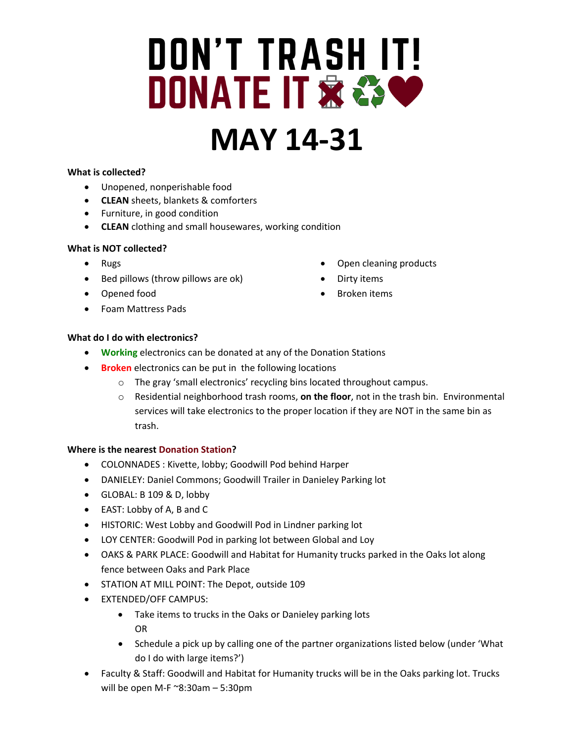# **DON'T TRASH IT! DONATE IT & & CO**

# **MAY 14-31**

#### **What is collected?**

- Unopened, nonperishable food
- **CLEAN** sheets, blankets & comforters
- Furniture, in good condition
- **CLEAN** clothing and small housewares, working condition

#### **What is NOT collected?**

- Rugs
- Bed pillows (throw pillows are ok)
- Opened food
- Foam Mattress Pads
- Open cleaning products
- Dirty items
- Broken items

### **What do I do with electronics?**

- **Working** electronics can be donated at any of the Donation Stations
- **Broken** electronics can be put in the following locations
	- o The gray 'small electronics' recycling bins located throughout campus.
	- o Residential neighborhood trash rooms, **on the floor**, not in the trash bin. Environmental services will take electronics to the proper location if they are NOT in the same bin as trash.

#### **Where is the nearest Donation Station?**

- COLONNADES : Kivette, lobby; Goodwill Pod behind Harper
- DANIELEY: Daniel Commons; Goodwill Trailer in Danieley Parking lot
- GLOBAL: B 109 & D, lobby
- EAST: Lobby of A, B and C
- HISTORIC: West Lobby and Goodwill Pod in Lindner parking lot
- LOY CENTER: Goodwill Pod in parking lot between Global and Loy
- OAKS & PARK PLACE: Goodwill and Habitat for Humanity trucks parked in the Oaks lot along fence between Oaks and Park Place
- STATION AT MILL POINT: The Depot, outside 109
- EXTENDED/OFF CAMPUS:
	- Take items to trucks in the Oaks or Danieley parking lots OR
	- Schedule a pick up by calling one of the partner organizations listed below (under 'What do I do with large items?')
- Faculty & Staff: Goodwill and Habitat for Humanity trucks will be in the Oaks parking lot. Trucks will be open M-F ~8:30am – 5:30pm